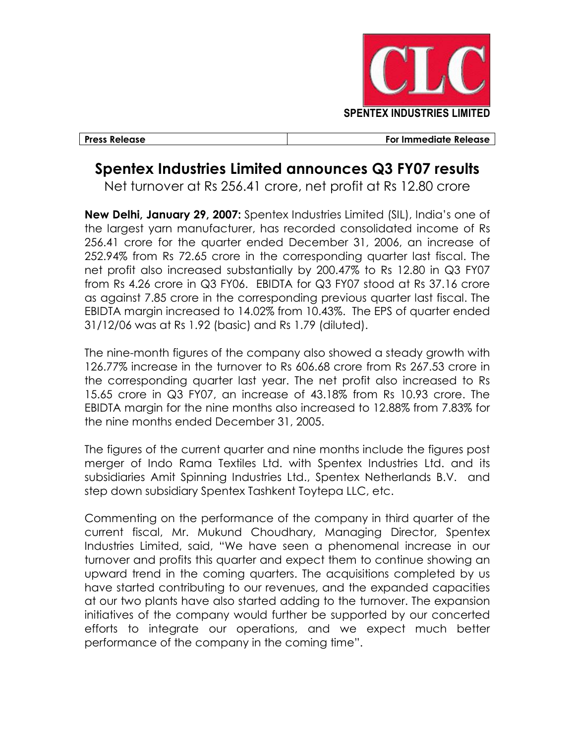

Press Release For Immediate Release

## Spentex Industries Limited announces Q3 FY07 results

Net turnover at Rs 256.41 crore, net profit at Rs 12.80 crore

New Delhi, January 29, 2007: Spentex Industries Limited (SIL), India's one of the largest yarn manufacturer, has recorded consolidated income of Rs 256.41 crore for the quarter ended December 31, 2006, an increase of 252.94% from Rs 72.65 crore in the corresponding quarter last fiscal. The net profit also increased substantially by 200.47% to Rs 12.80 in Q3 FY07 from Rs 4.26 crore in Q3 FY06. EBIDTA for Q3 FY07 stood at Rs 37.16 crore as against 7.85 crore in the corresponding previous quarter last fiscal. The EBIDTA margin increased to 14.02% from 10.43%. The EPS of quarter ended 31/12/06 was at Rs 1.92 (basic) and Rs 1.79 (diluted).

The nine-month figures of the company also showed a steady growth with 126.77% increase in the turnover to Rs 606.68 crore from Rs 267.53 crore in the corresponding quarter last year. The net profit also increased to Rs 15.65 crore in Q3 FY07, an increase of 43.18% from Rs 10.93 crore. The EBIDTA margin for the nine months also increased to 12.88% from 7.83% for the nine months ended December 31, 2005.

The figures of the current quarter and nine months include the figures post merger of Indo Rama Textiles Ltd. with Spentex Industries Ltd. and its subsidiaries Amit Spinning Industries Ltd., Spentex Netherlands B.V. and step down subsidiary Spentex Tashkent Toytepa LLC, etc.

Commenting on the performance of the company in third quarter of the current fiscal, Mr. Mukund Choudhary, Managing Director, Spentex Industries Limited, said, "We have seen a phenomenal increase in our turnover and profits this quarter and expect them to continue showing an upward trend in the coming quarters. The acquisitions completed by us have started contributing to our revenues, and the expanded capacities at our two plants have also started adding to the turnover. The expansion initiatives of the company would further be supported by our concerted efforts to integrate our operations, and we expect much better performance of the company in the coming time".